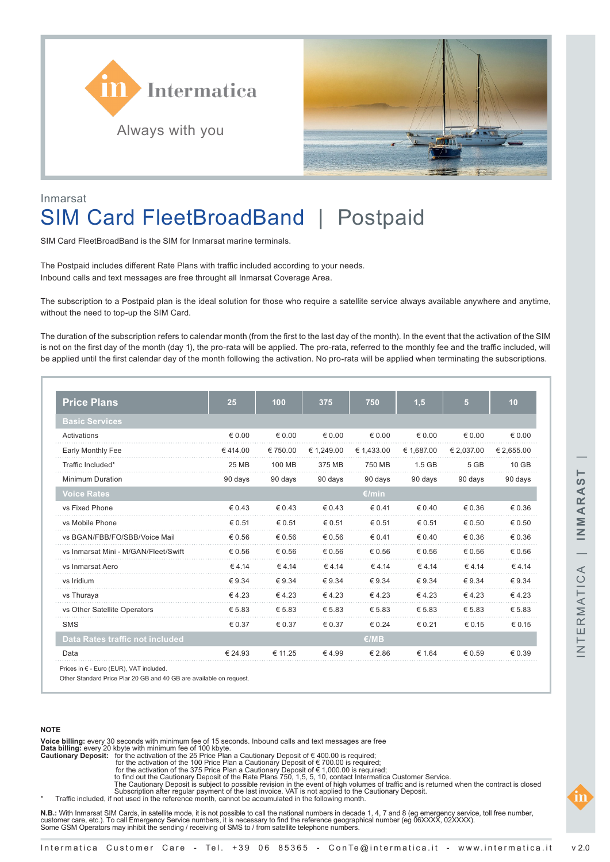



### Inmarsat

# SIM Card FleetBroadBand | Postpaid

SIM Card FleetBroadBand is the SIM for Inmarsat marine terminals.

The Postpaid includes different Rate Plans with traffic included according to your needs. Inbound calls and text messages are free throught all Inmarsat Coverage Area.

The subscription to a Postpaid plan is the ideal solution for those who require a satellite service always available anywhere and anytime, without the need to top-up the SIM Card.

The duration of the subscription refers to calendar month (from the first to the last day of the month). In the event that the activation of the SIM is not on the first day of the month (day 1), the pro-rata will be applied. The pro-rata, referred to the monthly fee and the traffic included, will be applied until the first calendar day of the month following the activation. No pro-rata will be applied when terminating the subscriptions.

| <b>Price Plans</b>                   | 25              | 100             | 375             | 750             | 1,5             | 5               | 10              |
|--------------------------------------|-----------------|-----------------|-----------------|-----------------|-----------------|-----------------|-----------------|
| <b>Basic Services</b>                |                 |                 |                 |                 |                 |                 |                 |
| Activations                          | $\epsilon$ 0.00 | $\epsilon$ 0.00 | € 0.00          | $\epsilon$ 0.00 | $\epsilon$ 0.00 | $\epsilon$ 0.00 | € 0.00          |
| Early Monthly Fee                    | €414.00         | €750.00         | € 1,249.00      | € 1,433.00      | € 1,687.00      | € 2,037.00      | € 2,655.00      |
| Traffic Included*                    | 25 MB           | 100 MB          | 375 MB          | 750 MB          | $1.5$ GB        | 5 GB            | 10 GB           |
| <b>Minimum Duration</b>              | 90 days         | 90 days         | 90 days         | 90 days         | 90 days         | 90 days         | 90 days         |
| <b>Voice Rates</b>                   |                 |                 |                 | €/min           |                 |                 |                 |
| vs Fixed Phone                       | $\epsilon$ 0.43 | $\epsilon$ 0.43 | $\epsilon$ 0.43 | $\epsilon$ 0.41 | $\epsilon$ 0.40 | € 0.36          | € 0.36          |
| vs Mobile Phone                      | € 0.51          | € 0.51          | € 0.51          | € 0.51          | € 0.51          | € 0.50          | € 0.50          |
| vs BGAN/FBB/FO/SBB/Voice Mail        | € 0.56          | € 0.56          | € 0.56          | $\epsilon$ 0.41 | $\epsilon$ 0.40 | € 0.36          | € 0.36          |
| vs Inmarsat Mini - M/GAN/Fleet/Swift | € 0.56          | € 0.56          | € 0.56          | € 0.56          | € 0.56          | € 0.56          | € 0.56          |
| vs Inmarsat Aero                     | € 4.14          | € 4.14          | €4.14           | $\epsilon$ 4.14 | €4.14           | €4.14           | €4.14           |
| vs Iridium                           | $\epsilon$ 9.34 | $\epsilon$ 9.34 | $\epsilon$ 9.34 | $\epsilon$ 9.34 | $\epsilon$ 9.34 | $\epsilon$ 9.34 | $\epsilon$ 9.34 |
| vs Thuraya                           | $\epsilon$ 4.23 | €4.23           | 64.23           | €4.23           | € 4.23          | € 4.23          | € 4.23          |
| vs Other Satellite Operators         | € 5.83          | € 5.83          | € 5.83          | € 5.83          | € 5.83          | € 5.83          | € 5.83          |
| <b>SMS</b>                           | € 0.37          | € 0.37          | $\epsilon$ 0.37 | $\epsilon$ 0.24 | € 0.21          | € 0.15          | € 0.15          |
| Data Rates traffic not included      |                 |                 |                 | €/MB            |                 |                 |                 |
| Data                                 | € 24.93         | € 11.25         | €4.99           | € 2.86          | € 1.64          | € 0.59          | € 0.39          |

Prices in € - Euro (EUR), VAT included.

Other Standard Price Plar 20 GB and 40 GB are available on request.

### **NOTE**

**Voice billing:** every 30 seconds with minimum fee of 15 seconds. Inbound calls and text messages are free<br>**Data billing:** every 20 kbyte with minimum fee of 100 kbyte.<br>**Cautionary Deposit:** for the activation of the 25

- 
- -

to find out the Cautionary Deposit of the Rate Plans 750, 1,5, 5, 10, contact Intermatica Customer Service.<br>The Cautionary Deposit is subject to possible revision in the event of high volumes of traffic and is returned whe

\* Traffic included, if not used in the reference month, cannot be accumulated in the following month.

**N.B.:** With Inmarsat SIM Cards, in satellite mode, it is not possible to call the national numbers in decade 1, 4, 7 and 8 (eg emergency service, toll free number, customer care, etc.). To call Emergency Service numbers, it is necessary to find the reference geographical number (eg 06XXXX, 02XXXX).<br>Some GSM Operators may inhibit the sending / receiving of SMS to / from satellite tele